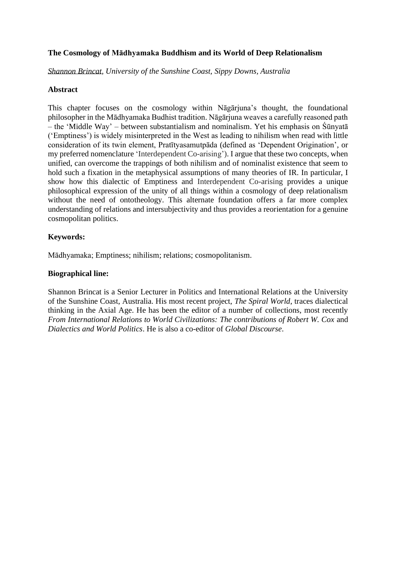# **The Cosmology of Mādhyamaka Buddhism and its World of Deep Relationalism**

*Shannon Brincat, University of the Sunshine Coast, Sippy Downs, Australia*

# **Abstract**

This chapter focuses on the cosmology within Nāgārjuna's thought, the foundational philosopher in the Mādhyamaka Budhist tradition. Nāgārjuna weaves a carefully reasoned path – the 'Middle Way' – between substantialism and nominalism. Yet his emphasis on Śūnyatā ('Emptiness') is widely misinterpreted in the West as leading to nihilism when read with little consideration of its twin element, Pratītyasamutpāda (defined as 'Dependent Origination', or my preferred nomenclature 'Interdependent Co-arising'). I argue that these two concepts, when unified, can overcome the trappings of both nihilism and of nominalist existence that seem to hold such a fixation in the metaphysical assumptions of many theories of IR. In particular, I show how this dialectic of Emptiness and Interdependent Co-arising provides a unique philosophical expression of the unity of all things within a cosmology of deep relationalism without the need of ontotheology. This alternate foundation offers a far more complex understanding of relations and intersubjectivity and thus provides a reorientation for a genuine cosmopolitan politics.

# **Keywords:**

Mādhyamaka; Emptiness; nihilism; relations; cosmopolitanism.

# **Biographical line:**

Shannon Brincat is a Senior Lecturer in Politics and International Relations at the University of the Sunshine Coast, Australia. His most recent project, *The Spiral World*, traces dialectical thinking in the Axial Age. He has been the editor of a number of collections, most recently *From International Relations to World Civilizations: The contributions of Robert W. Cox* and *Dialectics and World Politics*. He is also a co-editor of *Global Discourse*.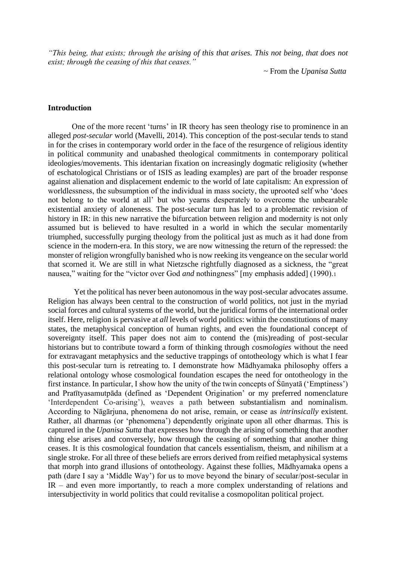*"This being, that exists; through the arising of this that arises. This not being, that does not exist; through the ceasing of this that ceases."*

~ From the *Upanisa Sutta*

### **Introduction**

One of the more recent 'turns' in IR theory has seen theology rise to prominence in an alleged *post-secular* world (Mavelli, 2014). This conception of the post-secular tends to stand in for the crises in contemporary world order in the face of the resurgence of religious identity in political community and unabashed theological commitments in contemporary political ideologies/movements. This identarian fixation on increasingly dogmatic religiosity (whether of eschatological Christians or of ISIS as leading examples) are part of the broader response against alienation and displacement endemic to the world of late capitalism: An expression of worldlessness, the subsumption of the individual in mass society, the uprooted self who 'does not belong to the world at all' but who yearns desperately to overcome the unbearable existential anxiety of aloneness. The post-secular turn has led to a problematic revision of history in IR: in this new narrative the bifurcation between religion and modernity is not only assumed but is believed to have resulted in a world in which the secular momentarily triumphed, successfully purging theology from the political just as much as it had done from science in the modern-era. In this story, we are now witnessing the return of the repressed: the monster of religion wrongfully banished who is now reeking its vengeance on the secular world that scorned it. We are still in what Nietzsche rightfully diagnosed as a sickness, the "great nausea," waiting for the "victor over God *and* nothingness" [my emphasis added] (1990).<sup>1</sup>

Yet the political has never been autonomous in the way post-secular advocates assume. Religion has always been central to the construction of world politics, not just in the myriad social forces and cultural systems of the world, but the juridical forms of the international order itself. Here, religion is pervasive at *all* levels of world politics: within the constitutions of many states, the metaphysical conception of human rights, and even the foundational concept of sovereignty itself. This paper does not aim to contend the (mis)reading of post-secular historians but to contribute toward a form of thinking through *cosmologies* without the need for extravagant metaphysics and the seductive trappings of ontotheology which is what I fear this post-secular turn is retreating to. I demonstrate how Mādhyamaka philosophy offers a relational ontology whose cosmological foundation escapes the need for ontotheology in the first instance. In particular, I show how the unity of the twin concepts of Śūnyatā ('Emptiness') and Pratītyasamutpāda (defined as 'Dependent Origination' or my preferred nomenclature 'Interdependent Co-arising'), weaves a path between substantialism and nominalism. According to Nāgārjuna, phenomena do not arise, remain, or cease as *intrinsically* existent. Rather, all dharmas (or 'phenomena') dependently originate upon all other dharmas. This is captured in the *Upanisa Sutta* that expresses how through the arising of something that another thing else arises and conversely, how through the ceasing of something that another thing ceases. It is this cosmological foundation that cancels essentialism, theism, and nihilism at a single stroke. For all three of these beliefs are errors derived from reified metaphysical systems that morph into grand illusions of ontotheology. Against these follies, Mādhyamaka opens a path (dare I say a 'Middle Way') for us to move beyond the binary of secular/post-secular in IR – and even more importantly, to reach a more complex understanding of relations and intersubjectivity in world politics that could revitalise a cosmopolitan political project.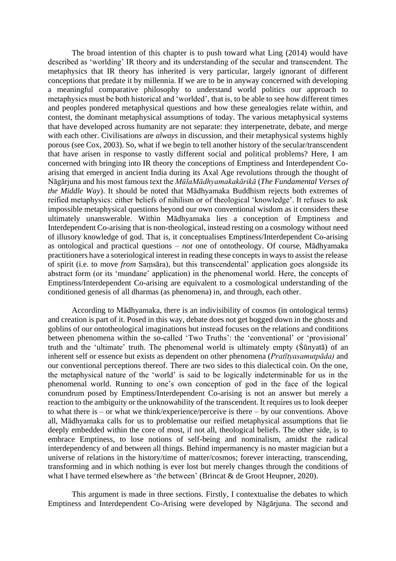The broad intention of this chapter is to push toward what Ling (2014) would have described as 'worlding' IR theory and its understanding of the secular and transcendent. The metaphysics that IR theory has inherited is very particular, largely ignorant of different conceptions that predate it by millennia. If we are to be in anyway concerned with developing a meaningful comparative philosophy to understand world politics our approach to metaphysics must be both historical and 'worlded', that is, to be able to see how different times and peoples pondered metaphysical questions and how these genealogies relate within, and contest, the dominant metaphysical assumptions of today. The various metaphysical systems that have developed across humanity are not separate: they interpenetrate, debate, and merge with each other. Civilisations are *always* in discussion, and their metaphysical systems highly porous (see Cox, 2003). So, what if we begin to tell another history of the secular/transcendent that have arisen in response to vastly different social and political problems? Here, I am concerned with bringing into IR theory the conceptions of Emptiness and Interdependent Coarising that emerged in ancient India during its Axal Age revolutions through the thought of Nāgārjuna and his most famous text the *MūlaMādhyamakakārikā* (*The Fundamental Verses of the Middle Way*). It should be noted that Mādhyamaka Buddhism rejects both extremes of reified metaphysics: either beliefs of nihilism or of theological 'knowledge'. It refuses to ask impossible metaphysical questions beyond our own conventional wisdom as it considers these ultimately unanswerable. Within Mādhyamaka lies a conception of Emptiness and Interdependent Co-arising that is non-theological, instead resting on a cosmology without need of illusory knowledge of god. That is, it conceptualises Emptiness/Interdependent Co-arising as ontological and practical questions – *not* one of ontotheology. Of course, Mādhyamaka practitioners have a soteriological interest in reading these concepts in ways to assist the release of spirit (i.e. to move *from* Saṃsāra), but this transcendental' application goes alongside its abstract form (or its 'mundane' application) in the phenomenal world. Here, the concepts of Emptiness/Interdependent Co-arising are equivalent to a cosmological understanding of the conditioned genesis of all dharmas (as phenomena) in, and through, each other.

According to Mādhyamaka, there is an indivisibility of cosmos (in ontological terms) and creation is part of it. Posed in this way, debate does not get bogged down in the ghosts and goblins of our ontotheological imaginations but instead focuses on the relations and conditions between phenomena within the so-called 'Two Truths': the 'conventional' or 'provisional' truth and the 'ultimate' truth. The phenomenal world is ultimately empty (Śūnyatā) of an inherent self or essence but exists as dependent on other phenomena (*Pratītyasamutpāda)* and our conventional perceptions thereof. There are two sides to this dialectical coin. On the one, the metaphysical nature of the 'world' is said to be logically indeterminable for us in the phenomenal world. Running to one's own conception of god in the face of the logical conundrum posed by Emptiness/Interdependent Co-arising is not an answer but merely a reaction to the ambiguity or the unknowability of the transcendent. It requires us to look deeper to what there is – or what we think/experience/perceive is there – by our conventions. Above all, Mādhyamaka calls for us to problematise our reified metaphysical assumptions that lie deeply embedded within the core of most, if not all, theological beliefs. The other side, is to embrace Emptiness, to lose notions of self-being and nominalism, amidst the radical interdependency of and between all things. Behind impermanency is no master magician but a universe of relations in the history/time of matter/cosmos; forever interacting, transcending, transforming and in which nothing is ever lost but merely changes through the conditions of what I have termed elsewhere as '*the* between' (Brincat & de Groot Heupner, 2020).

This argument is made in three sections. Firstly, I contextualise the debates to which Emptiness and Interdependent Co-Arising were developed by Nāgārjuna. The second and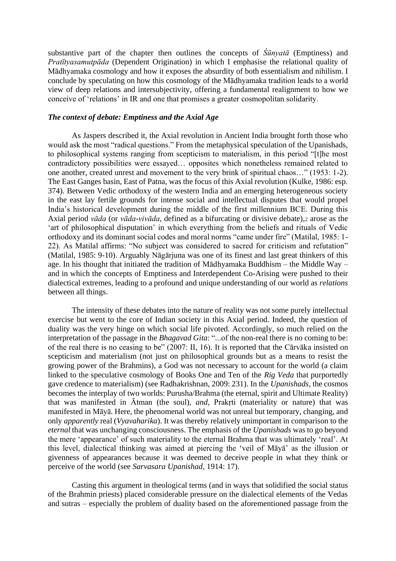substantive part of the chapter then outlines the concepts of *Śūnyatā* (Emptiness) and *Pratītyasamutpāda* (Dependent Origination) in which I emphasise the relational quality of Mādhyamaka cosmology and how it exposes the absurdity of both essentialism and nihilism. I conclude by speculating on how this cosmology of the Mādhyamaka tradition leads to a world view of deep relations and intersubjectivity, offering a fundamental realignment to how we conceive of 'relations' in IR and one that promises a greater cosmopolitan solidarity.

#### *The context of debate: Emptiness and the Axial Age*

As Jaspers described it, the Axial revolution in Ancient India brought forth those who would ask the most "radical questions." From the metaphysical speculation of the Upanishads, to philosophical systems ranging from scepticism to materialism, in this period "[t]he most contradictory possibilities were essayed… opposites which nonetheless remained related to one another, created unrest and movement to the very brink of spiritual chaos…" (1953: 1-2). The East Ganges basin, East of Patna, was the focus of this Axial revolution (Kulke, 1986: esp. 374). Between Vedic orthodoxy of the western India and an emerging heterogeneous society in the east lay fertile grounds for intense social and intellectual disputes that would propel India's historical development during the middle of the first millennium BCE. During this Axial period *vāda* (or *vāda-vivāda*, defined as a bifurcating or divisive debate),<sup>2</sup> arose as the 'art of philosophical disputation' in which everything from the beliefs and rituals of Vedic orthodoxy and its dominant social codes and moral norms "came under fire" (Matilal, 1985: 1- 22). As Matilal affirms: "No subject was considered to sacred for criticism and refutation" (Matilal, 1985: 9-10). Arguably Nāgārjuna was one of its finest and last great thinkers of this age. In his thought that initiated the tradition of Mādhyamaka Buddhism – the Middle Way – and in which the concepts of Emptiness and Interdependent Co-Arising were pushed to their dialectical extremes, leading to a profound and unique understanding of our world as *relations* between all things.

The intensity of these debates into the nature of reality was not some purely intellectual exercise but went to the core of Indian society in this Axial period. Indeed, the question of duality was the very hinge on which social life pivoted. Accordingly, so much relied on the interpretation of the passage in the *Bhagavad Gita*: "...of the non-real there is no coming to be: of the real there is no ceasing to be" (2007: II, 16). It is reported that the Cārvāka insisted on scepticism and materialism (not just on philosophical grounds but as a means to resist the growing power of the Brahmins), a God was not necessary to account for the world (a claim linked to the speculative cosmology of Books One and Ten of the *Rig Veda* that purportedly gave credence to materialism) (see Radhakrishnan, 2009: 231). In the *Upanishads*, the cosmos becomes the interplay of two worlds: Purusha/Brahma (the eternal, spirit and Ultimate Reality) that was manifested in Ātman (the soul), *and*, Prakṛti (materiality or nature) that was manifested in Māyā. Here, the phenomenal world was not unreal but temporary, changing, and only *apparently* real (*Vyavaharika*). It was thereby relatively unimportant in comparison to the *eternal* that was unchanging consciousness. The emphasis of the *Upanishads* was to go beyond the mere 'appearance' of such materiality to the eternal Brahma that was ultimately 'real'. At this level, dialectical thinking was aimed at piercing the 'veil of Māyā' as the illusion or givenness of appearances because it was deemed to deceive people in what they think or perceive of the world (see *Sarvasara Upanishad*, 1914: 17).

Casting this argument in theological terms (and in ways that solidified the social status of the Brahmin priests) placed considerable pressure on the dialectical elements of the Vedas and sutras – especially the problem of duality based on the aforementioned passage from the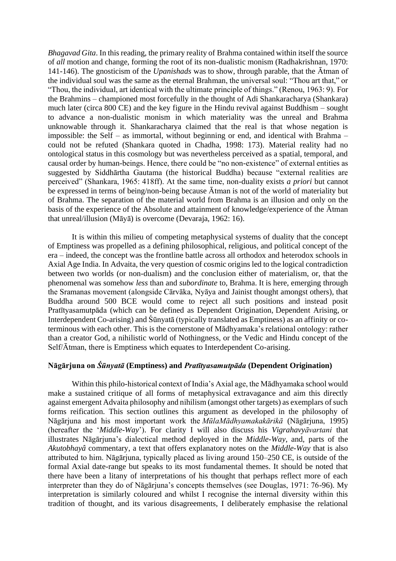*Bhagavad Gita*. In this reading, the primary reality of Brahma contained within itself the source of *all* motion and change, forming the root of its non-dualistic monism (Radhakrishnan, 1970: 141-146). The gnosticism of the *Upanishads* was to show, through parable, that the Ātman of the individual soul was the same as the eternal Brahman, the universal soul: "Thou art that," or "Thou, the individual, art identical with the ultimate principle of things." (Renou, 1963: 9). For the Brahmins – championed most forcefully in the thought of Adi Shankaracharya (Shankara) much later (circa 800 CE) and the key figure in the Hindu revival against Buddhism – sought to advance a non-dualistic monism in which materiality was the unreal and Brahma unknowable through it. Shankaracharya claimed that the real is that whose negation is impossible: the Self – as immortal, without beginning or end, and identical with Brahma – could not be refuted (Shankara quoted in Chadha, 1998: 173). Material reality had no ontological status in this cosmology but was nevertheless perceived as a spatial, temporal, and causal order by human-beings. Hence, there could be "no non-existence" of external entities as suggested by Siddhārtha Gautama (the historical Buddha) because "external realities are perceived" (Shankara, 1965: 418ff). At the same time, non-duality exists *a priori* but cannot be expressed in terms of being/non-being because Ātman is not of the world of materiality but of Brahma. The separation of the material world from Brahma is an illusion and only on the basis of the experience of the Absolute and attainment of knowledge/experience of the Ātman that unreal/illusion (Māyā) is overcome (Devaraja, 1962: 16).

It is within this milieu of competing metaphysical systems of duality that the concept of Emptiness was propelled as a defining philosophical, religious, and political concept of the era – indeed, the concept was the frontline battle across all orthodox and heterodox schools in Axial Age India. In Advaita, the very question of cosmic origins led to the logical contradiction between two worlds (or non-dualism) and the conclusion either of materialism, or, that the phenomenal was somehow *less* than and *subordinate* to, Brahma. It is here, emerging through the Sramanas movement (alongside Cārvāka, Nyāya and Jainist thought amongst others), that Buddha around 500 BCE would come to reject all such positions and instead posit Pratītyasamutpāda (which can be defined as Dependent Origination, Dependent Arising, or Interdependent Co-arising) and Śūnyatā (typically translated as Emptiness) as an affinity or coterminous with each other. This is the cornerstone of Mādhyamaka's relational ontology: rather than a creator God, a nihilistic world of Nothingness, or the Vedic and Hindu concept of the Self/Ātman, there is Emptiness which equates to Interdependent Co-arising.

### **Nāgārjuna on** *Śūnyatā* **(Emptiness) and** *Pratītyasamutpāda* **(Dependent Origination)**

Within this philo-historical context of India's Axial age, the Mādhyamaka school would make a sustained critique of all forms of metaphysical extravagance and aim this directly against emergent Advaita philosophy and nihilism (amongst other targets) as exemplars of such forms reification. This section outlines this argument as developed in the philosophy of Nāgārjuna and his most important work the *MūlaMādhyamakakārikā* (Nāgārjuna, 1995) (hereafter the '*Middle-Way*'). For clarity I will also discuss his *Vigrahavyāvartani* that illustrates Nāgārjuna's dialectical method deployed in the *Middle-Way*, and, parts of the *Akutobhayâ* commentary, a text that offers explanatory notes on the *Middle-Way* that is also attributed to him. Nāgārjuna, typically placed as living around 150–250 CE, is outside of the formal Axial date-range but speaks to its most fundamental themes. It should be noted that there have been a litany of interpretations of his thought that perhaps reflect more of each interpreter than they do of Nāgārjuna's concepts themselves (see Douglas, 1971: 76-96). My interpretation is similarly coloured and whilst I recognise the internal diversity within this tradition of thought, and its various disagreements, I deliberately emphasise the relational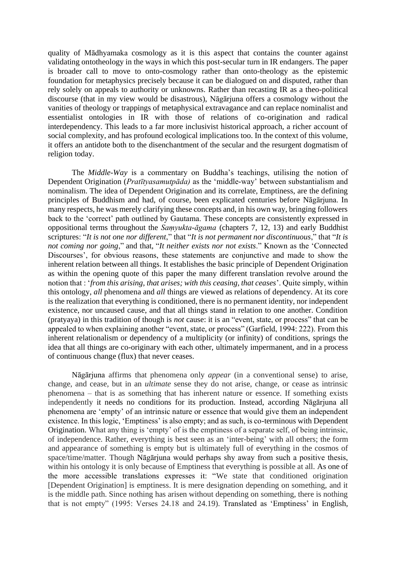quality of Mādhyamaka cosmology as it is this aspect that contains the counter against validating ontotheology in the ways in which this post-secular turn in IR endangers. The paper is broader call to move to onto-cosmology rather than onto-theology as the epistemic foundation for metaphysics precisely because it can be dialogued on and disputed, rather than rely solely on appeals to authority or unknowns. Rather than recasting IR as a theo-political discourse (that in my view would be disastrous), Nāgārjuna offers a cosmology without the vanities of theology or trappings of metaphysical extravagance and can replace nominalist and essentialist ontologies in IR with those of relations of co-origination and radical interdependency. This leads to a far more inclusivist historical approach, a richer account of social complexity, and has profound ecological implications too. In the context of this volume, it offers an antidote both to the disenchantment of the secular and the resurgent dogmatism of religion today.

The *Middle-Way* is a commentary on Buddha's teachings, utilising the notion of Dependent Origination (*Pratītyasamutpāda)* as the 'middle-way' between substantialism and nominalism. The idea of Dependent Origination and its correlate, Emptiness, are the defining principles of Buddhism and had, of course, been explicated centuries before Nāgārjuna. In many respects, he was merely clarifying these concepts and, in his own way, bringing followers back to the 'correct' path outlined by Gautama. These concepts are consistently expressed in oppositional terms throughout the *Saṃyukta-āgama* (chapters 7, 12, 13) and early Buddhist scriptures: "*It is not one nor different*," that "*It is not permanent nor discontinuous*," that "*It is not coming nor going*," and that, "*It neither exists nor not exists*." Known as the 'Connected Discourses', for obvious reasons, these statements are conjunctive and made to show the inherent relation between all things. It establishes the basic principle of Dependent Origination as within the opening quote of this paper the many different translation revolve around the notion that : '*from this arising, that arises; with this ceasing, that ceases*'. Quite simply, within this ontology, *all* phenomena and *all* things are viewed as relations of dependency. At its core is the realization that everything is conditioned, there is no permanent identity, nor independent existence, nor uncaused cause, and that all things stand in relation to one another. Condition (pratyaya) in this tradition of though is *not* cause: it is an "event, state, or process" that can be appealed to when explaining another "event, state, or process" (Garfield, 1994: 222). From this inherent relationalism or dependency of a multiplicity (or infinity) of conditions, springs the idea that all things are co-originary with each other, ultimately impermanent, and in a process of continuous change (flux) that never ceases.

Nāgārjuna affirms that phenomena only *appear* (in a conventional sense) to arise, change, and cease, but in an *ultimate* sense they do not arise, change, or cease as intrinsic phenomena – that is as something that has inherent nature or essence. If something exists independently it needs no conditions for its production. Instead, according Nāgārjuna all phenomena are 'empty' of an intrinsic nature or essence that would give them an independent existence. In this logic, 'Emptiness' is also empty; and as such, is co-terminous with Dependent Origination. What any thing is 'empty' of is the emptiness of a separate self, of being intrinsic, of independence. Rather, everything is best seen as an 'inter-being' with all others; the form and appearance of something is empty but is ultimately full of everything in the cosmos of space/time/matter. Though Nāgārjuna would perhaps shy away from such a positive thesis, within his ontology it is only because of Emptiness that everything is possible at all. As one of the more accessible translations expresses it: "We state that conditioned origination [Dependent Origination] is emptiness. It is mere designation depending on something, and it is the middle path. Since nothing has arisen without depending on something, there is nothing that is not empty" (1995: Verses 24.18 and 24.19). Translated as 'Emptiness' in English,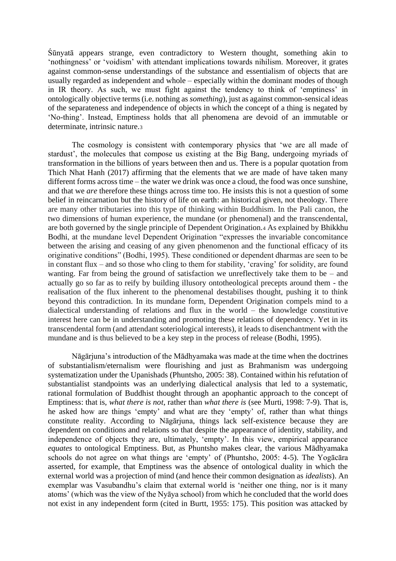Śūnyatā appears strange, even contradictory to Western thought, something akin to 'nothingness' or 'voidism' with attendant implications towards nihilism. Moreover, it grates against common-sense understandings of the substance and essentialism of objects that are usually regarded as independent and whole – especially within the dominant modes of though in IR theory. As such, we must fight against the tendency to think of 'emptiness' in ontologically objective terms (i.e. nothing as *something*), just as against common-sensical ideas of the separateness and independence of objects in which the concept of a thing is negated by 'No-thing'. Instead, Emptiness holds that all phenomena are devoid of an immutable or determinate, intrinsic nature.<sup>3</sup>

The cosmology is consistent with contemporary physics that 'we are all made of stardust', the molecules that compose us existing at the Big Bang, undergoing myriads of transformation in the billions of years between then and us. There is a popular quotation from Thich Nhat Hanh (2017) affirming that the elements that we are made of have taken many different forms across time – the water we drink was once a cloud, the food was once sunshine, and that we *are* therefore these things across time too. He insists this is not a question of some belief in reincarnation but the history of life on earth: an historical given, not theology. There are many other tributaries into this type of thinking within Buddhism. In the Pali canon, the two dimensions of human experience, the mundane (or phenomenal) and the transcendental, are both governed by the single principle of Dependent Origination.<sup>4</sup> As explained by Bhikkhu Bodhi, at the mundane level Dependent Origination "expresses the invariable concomitance between the arising and ceasing of any given phenomenon and the functional efficacy of its originative conditions" (Bodhi, 1995). These conditioned or dependent dharmas are seen to be in constant flux – and so those who cling to them for stability, 'craving' for solidity, are found wanting. Far from being the ground of satisfaction we unreflectively take them to be – and actually go so far as to reify by building illusory ontotheological precepts around them - the realisation of the flux inherent to the phenomenal destabilises thought, pushing it to think beyond this contradiction. In its mundane form, Dependent Origination compels mind to a dialectical understanding of relations and flux in the world – the knowledge constitutive interest here can be in understanding and promoting these relations of dependency. Yet in its transcendental form (and attendant soteriological interests), it leads to disenchantment with the mundane and is thus believed to be a key step in the process of release (Bodhi, 1995).

Nāgārjuna's introduction of the Mādhyamaka was made at the time when the doctrines of substantialism/eternalism were flourishing and just as Brahmanism was undergoing systematization under the Upanishads (Phuntsho, 2005: 38). Contained within his refutation of substantialist standpoints was an underlying dialectical analysis that led to a systematic, rational formulation of Buddhist thought through an apophantic approach to the concept of Emptiness: that is, *what there is not*, rather than *what there is* (see Murti, 1998: 7-9). That is, he asked how are things 'empty' and what are they 'empty' of, rather than what things constitute reality. According to Nāgārjuna, things lack self-existence because they are dependent on conditions and relations so that despite the appearance of identity, stability, and independence of objects they are, ultimately, 'empty'. In this view, empirical appearance *equates* to ontological Emptiness. But, as Phuntsho makes clear, the various Mādhyamaka schools do not agree on what things are 'empty' of (Phuntsho, 2005: 4-5). The Yogācāra asserted, for example, that Emptiness was the absence of ontological duality in which the external world was a projection of mind (and hence their common designation as *idealists*). An exemplar was Vasubandhu's claim that external world is 'neither one thing, nor is it many atoms' (which was the view of the Nyāya school) from which he concluded that the world does not exist in any independent form (cited in Burtt, 1955: 175). This position was attacked by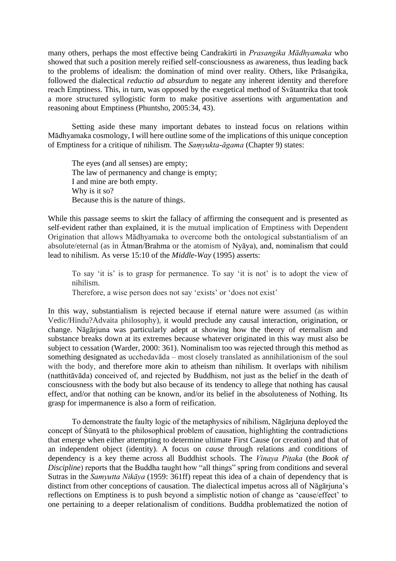many others, perhaps the most effective being Candrakirti in *Prasangika Mādhyamaka* who showed that such a position merely reified self-consciousness as awareness, thus leading back to the problems of idealism: the domination of mind over reality. Others, like Prāsaṅgika, followed the dialectical *reductio ad absurdum* to negate any inherent identity and therefore reach Emptiness. This, in turn, was opposed by the exegetical method of Svātantrika that took a more structured syllogistic form to make positive assertions with argumentation and reasoning about Emptiness (Phuntsho, 2005:34, 43).

Setting aside these many important debates to instead focus on relations within Mādhyamaka cosmology, I will here outline some of the implications of this unique conception of Emptiness for a critique of nihilism. The *Saṃyukta-āgama* (Chapter 9) states:

The eyes (and all senses) are empty; The law of permanency and change is empty; I and mine are both empty. Why is it so? Because this is the nature of things.

While this passage seems to skirt the fallacy of affirming the consequent and is presented as self-evident rather than explained, it is the mutual implication of Emptiness with Dependent Origination that allows Mādhyamaka to overcome both the ontological substantialism of an absolute/eternal (as in Ātman/Brahma or the atomism of Nyāya), and, nominalism that could lead to nihilism. As verse 15:10 of the *Middle-Way* (1995) asserts:

To say 'it is' is to grasp for permanence. To say 'it is not' is to adopt the view of nihilism.

Therefore, a wise person does not say 'exists' or 'does not exist'

In this way, substantialism is rejected because if eternal nature were assumed (as within Vedic/Hindu?Advaita philosophy), it would preclude any causal interaction, origination, or change. Nāgārjuna was particularly adept at showing how the theory of eternalism and substance breaks down at its extremes because whatever originated in this way must also be subject to cessation (Warder, 2000: 361). Nominalism too was rejected through this method as something designated as ucchedavāda *–* most closely translated as annihilationism of the soul with the body, and therefore more akin to atheism than nihilism. It overlaps with nihilism (natthitāvāda) conceived of, and rejected by Buddhism, not just as the belief in the death of consciousness with the body but also because of its tendency to allege that nothing has causal effect, and/or that nothing can be known, and/or its belief in the absoluteness of Nothing. Its grasp for impermanence is also a form of reification.

To demonstrate the faulty logic of the metaphysics of nihilism, Nāgārjuna deployed the concept of Śūnyatā to the philosophical problem of causation, highlighting the contradictions that emerge when either attempting to determine ultimate First Cause (or creation) and that of an independent object (identity). A focus on *cause* through relations and conditions of dependency is a key theme across all Buddhist schools. The *Vinaya Piṭaka* (the *Book of Discipline*) reports that the Buddha taught how "all things" spring from conditions and several Sutras in the *Samyutta Nikāya* (1959: 361ff) repeat this idea of a chain of dependency that is distinct from other conceptions of causation. The dialectical impetus across all of Nāgārjuna's reflections on Emptiness is to push beyond a simplistic notion of change as 'cause/effect' to one pertaining to a deeper relationalism of conditions. Buddha problematized the notion of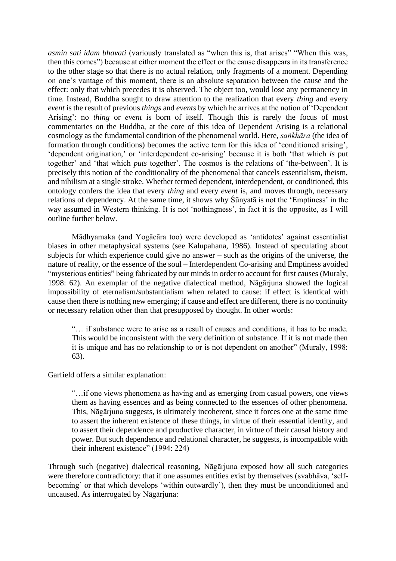*asmin sati idam bhavati* (variously translated as "when this is, that arises" "When this was, then this comes") because at either moment the effect or the cause disappears in its transference to the other stage so that there is no actual relation, only fragments of a moment. Depending on one's vantage of this moment, there is an absolute separation between the cause and the effect: only that which precedes it is observed. The object too, would lose any permanency in time. Instead, Buddha sought to draw attention to the realization that every *thing* and every *event* is the result of previous *things* and *events* by which he arrives at the notion of 'Dependent Arising': no *thing* or *event* is born of itself. Though this is rarely the focus of most commentaries on the Buddha, at the core of this idea of Dependent Arising is a relational cosmology as the fundamental condition of the phenomenal world. Here, *saṅkhāra* (the idea of formation through conditions) becomes the active term for this idea of 'conditioned arising', 'dependent origination,' or 'interdependent co-arising' because it is both 'that which *is* put together' and 'that which *puts* together'. The cosmos is the relations of 'the-between'. It is precisely this notion of the conditionality of the phenomenal that cancels essentialism, theism, and nihilism at a single stroke. Whether termed dependent, interdependent, or conditioned, this ontology confers the idea that every *thing* and every *event* is, and moves through, necessary relations of dependency. At the same time, it shows why Śūnyatā is not the 'Emptiness' in the way assumed in Western thinking. It is not 'nothingness', in fact it is the opposite, as I will outline further below.

Mādhyamaka (and Yogācāra too) were developed as 'antidotes' against essentialist biases in other metaphysical systems (see Kalupahana, 1986). Instead of speculating about subjects for which experience could give no answer – such as the origins of the universe, the nature of reality, or the essence of the soul – Interdependent Co-arising and Emptiness avoided "mysterious entities" being fabricated by our minds in order to account for first causes (Muraly, 1998: 62). An exemplar of the negative dialectical method, Nāgārjuna showed the logical impossibility of eternalism/substantialism when related to cause: if effect is identical with cause then there is nothing new emerging; if cause and effect are different, there is no continuity or necessary relation other than that presupposed by thought. In other words:

"… if substance were to arise as a result of causes and conditions, it has to be made. This would be inconsistent with the very definition of substance. If it is not made then it is unique and has no relationship to or is not dependent on another" (Muraly, 1998: 63).

Garfield offers a similar explanation:

"…if one views phenomena as having and as emerging from casual powers, one views them as having essences and as being connected to the essences of other phenomena. This, Nāgārjuna suggests, is ultimately incoherent, since it forces one at the same time to assert the inherent existence of these things, in virtue of their essential identity, and to assert their dependence and productive character, in virtue of their causal history and power. But such dependence and relational character, he suggests, is incompatible with their inherent existence" (1994: 224)

Through such (negative) dialectical reasoning, Nāgārjuna exposed how all such categories were therefore contradictory: that if one assumes entities exist by themselves (svabhāva, 'selfbecoming' or that which develops 'within outwardly'), then they must be unconditioned and uncaused. As interrogated by Nāgārjuna: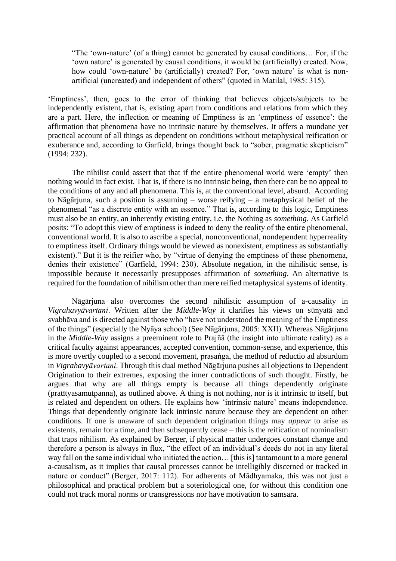"The 'own-nature' (of a thing) cannot be generated by causal conditions… For, if the 'own nature' is generated by causal conditions, it would be (artificially) created. Now, how could 'own-nature' be (artificially) created? For, 'own nature' is what is nonartificial (uncreated) and independent of others" (quoted in Matilal, 1985: 315).

'Emptiness', then, goes to the error of thinking that believes objects/subjects to be independently existent, that is, existing apart from conditions and relations from which they are a part. Here, the inflection or meaning of Emptiness is an 'emptiness of essence': the affirmation that phenomena have no intrinsic nature by themselves. It offers a mundane yet practical account of all things as dependent on conditions without metaphysical reification or exuberance and, according to Garfield, brings thought back to "sober, pragmatic skepticism" (1994: 232).

The nihilist could assert that that if the entire phenomenal world were 'empty' then nothing would in fact exist. That is, if there is no intrinsic being, then there can be no appeal to the conditions of any and all phenomena. This is, at the conventional level, absurd. According to Nāgārjuna, such a position is assuming – worse reifying – a metaphysical belief of the phenomenal "as a discrete entity with an essence." That is, according to this logic, Emptiness must also be an entity, an inherently existing entity, i.e. the Nothing as *something*. As Garfield posits: "To adopt this view of emptiness is indeed to deny the reality of the entire phenomenal, conventional world. It is also to ascribe a special, nonconventional, nondependent hyperreality to emptiness itself. Ordinary things would be viewed as nonexistent, emptiness as substantially existent)." But it is the reifier who, by "virtue of denying the emptiness of these phenomena, denies their existence" (Garfield, 1994: 230). Absolute negation, in the nihilistic sense, is impossible because it necessarily presupposes affirmation of *something*. An alternative is required for the foundation of nihilism other than mere reified metaphysical systems of identity.

Nāgārjuna also overcomes the second nihilistic assumption of a-causality in *Vigrahavyāvartani*. Written after the *Middle-Way* it clarifies his views on sūnyatā and svabhāva and is directed against those who "have not understood the meaning of the Emptiness of the things" (especially the Nyāya school) (See Nāgārjuna, 2005: XXII). Whereas Nāgārjuna in the *Middle-Way* assigns a preeminent role to Prajñā (the insight into ultimate reality) as a critical faculty against appearances, accepted convention, common-sense, and experience, this is more overtly coupled to a second movement, prasaṅga, the method of reductio ad absurdum in *Vigrahavyāvartani*. Through this dual method Nāgārjuna pushes all objections to Dependent Origination to their extremes, exposing the inner contradictions of such thought. Firstly, he argues that why are all things empty is because all things dependently originate (pratītyasamutpanna), as outlined above. A thing is not nothing, nor is it intrinsic to itself, but is related and dependent on others. He explains how 'intrinsic nature' means independence. Things that dependently originate lack intrinsic nature because they are dependent on other conditions. If one is unaware of such dependent origination things may *appear* to arise as existents, remain for a time, and then subsequently cease – this is the reification of nominalism that traps nihilism. As explained by Berger, if physical matter undergoes constant change and therefore a person is always in flux, "the effect of an individual's deeds do not in any literal way fall on the same individual who initiated the action… [this is] tantamount to a more general a-causalism, as it implies that causal processes cannot be intelligibly discerned or tracked in nature or conduct" (Berger, 2017: 112). For adherents of Mādhyamaka, this was not just a philosophical and practical problem but a soteriological one, for without this condition one could not track moral norms or transgressions nor have motivation to samsara.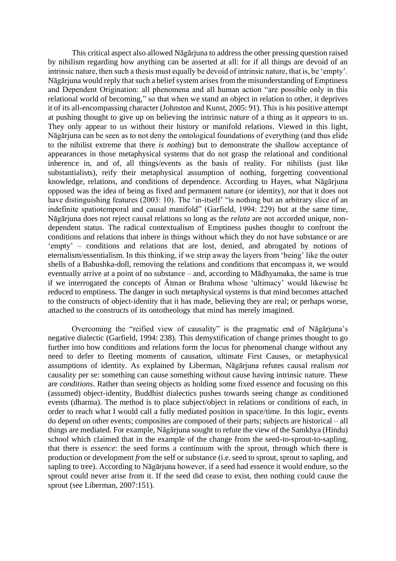This critical aspect also allowed Nāgārjuna to address the other pressing question raised by nihilism regarding how anything can be asserted at all: for if all things are devoid of an intrinsic nature, then such a thesis must equally be devoid of intrinsic nature, that is, be 'empty'. Nāgārjuna would reply that such a belief system arises from the misunderstanding of Emptiness and Dependent Origination: all phenomena and all human action "are possible only in this relational world of becoming," so that when we stand an object in relation to other, it deprives it of its all-encompassing character (Johnston and Kunst, 2005: 91). This is his positive attempt at pushing thought to give up on believing the intrinsic nature of a thing as it *appears* to us. They only appear to us without their history or manifold relations. Viewed in this light, Nāgārjuna can be seen as to not deny the ontological foundations of everything (and thus elide to the nihilist extreme that there *is nothing*) but to demonstrate the shallow acceptance of appearances in those metaphysical systems that do not grasp the relational and conditional inherence in, and of, all things/events as the basis of reality. For nihilists (just like substantialists), reify their metaphysical assumption of nothing, forgetting conventional knowledge, relations, and conditions of dependence. According to Hayes, what Nāgārjuna opposed was the idea of being as fixed and permanent nature (or identity), *not* that it does not have distinguishing features (2003: 10). The 'in-itself' "is nothing but an arbitrary slice of an indefinite spatiotemporal and causal manifold" (Garfield, 1994: 229) but at the same time, Nāgārjuna does not reject causal relations so long as the *relata* are not accorded unique, nondependent status. The radical contextualism of Emptiness pushes thought to confront the conditions and relations that inhere in things without which they do not have substance or are 'empty' – conditions and relations that are lost, denied, and abrogated by notions of eternalism/essentialism. In this thinking, if we strip away the layers from 'being' like the outer shells of a Babushka-doll, removing the relations and conditions that encompass it, we would eventually arrive at a point of no substance – and, according to Mādhyamaka, the same is true if we interrogated the concepts of Ātman or Brahma whose 'ultimacy' would likewise be reduced to emptiness. The danger in such metaphysical systems is that mind becomes attached to the constructs of object-identity that it has made, believing they are real; or perhaps worse, attached to the constructs of its ontotheology that mind has merely imagined.

Overcoming the "reified view of causality" is the pragmatic end of Nāgārjuna's negative dialectic (Garfield, 1994: 238). This demystification of change primes thought to go further into how conditions and relations form the locus for phenomenal change without any need to defer to fleeting moments of causation, ultimate First Causes, or metaphysical assumptions of identity. As explained by Liberman, Nāgārjuna refutes causal realism *not* causality per se: something can cause something without cause having intrinsic nature. These are *conditions*. Rather than seeing objects as holding some fixed essence and focusing on this (assumed) object-identity, Buddhist dialectics pushes towards seeing change as conditioned events (dharma). The method is to place subject/object in relations or conditions of each, in order to reach what I would call a fully mediated position in space/time. In this logic, events do depend on other events; composites are composed of their parts; subjects are historical – all things are mediated. For example, Nāgārjuna sought to refute the view of the Samkhya (Hindu) school which claimed that in the example of the change from the seed-to-sprout-to-sapling, that there is *essence*: the seed forms a continuum with the sprout, through which there is production or development *from* the self or substance (i.e. seed to sprout, sprout to sapling, and sapling to tree). According to Nāgārjuna however, if a seed had essence it would endure, so the sprout could never arise from it. If the seed did cease to exist, then nothing could cause the sprout (see Liberman, 2007:151).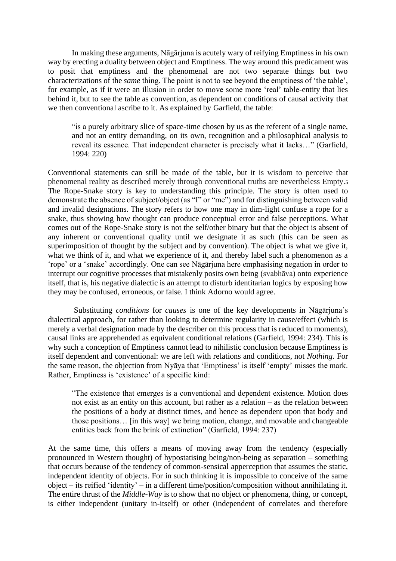In making these arguments, Nāgārjuna is acutely wary of reifying Emptiness in his own way by erecting a duality between object and Emptiness. The way around this predicament was to posit that emptiness and the phenomenal are not two separate things but two characterizations of the *same* thing. The point is not to see beyond the emptiness of 'the table', for example, as if it were an illusion in order to move some more 'real' table-entity that lies behind it, but to see the table as convention, as dependent on conditions of causal activity that we then conventional ascribe to it. As explained by Garfield, the table:

"is a purely arbitrary slice of space-time chosen by us as the referent of a single name, and not an entity demanding, on its own, recognition and a philosophical analysis to reveal its essence. That independent character is precisely what it lacks…" (Garfield, 1994: 220)

Conventional statements can still be made of the table, but it is wisdom to perceive that phenomenal reality as described merely through conventional truths are nevertheless Empty.<sup>5</sup> The Rope-Snake story is key to understanding this principle. The story is often used to demonstrate the absence of subject/object (as "I" or "me") and for distinguishing between valid and invalid designations. The story refers to how one may in dim-light confuse a rope for a snake, thus showing how thought can produce conceptual error and false perceptions. What comes out of the Rope-Snake story is not the self/other binary but that the object is absent of any inherent or conventional quality until we designate it as such (this can be seen as superimposition of thought by the subject and by convention). The object is what we give it, what we think of it, and what we experience of it, and thereby label such a phenomenon as a 'rope' or a 'snake' accordingly. One can see Nāgārjuna here emphasising negation in order to interrupt our cognitive processes that mistakenly posits own being (svabhāva) onto experience itself, that is, his negative dialectic is an attempt to disturb identitarian logics by exposing how they may be confused, erroneous, or false. I think Adorno would agree.

Substituting *conditions* for *causes* is one of the key developments in Nāgārjuna's dialectical approach, for rather than looking to determine regularity in cause/effect (which is merely a verbal designation made by the describer on this process that is reduced to moments), causal links are apprehended as equivalent conditional relations (Garfield, 1994: 234). This is why such a conception of Emptiness cannot lead to nihilistic conclusion because Emptiness is itself dependent and conventional: we are left with relations and conditions, not *Nothing*. For the same reason, the objection from Nyāya that 'Emptiness' is itself 'empty' misses the mark. Rather, Emptiness is 'existence' of a specific kind:

"The existence that emerges is a conventional and dependent existence. Motion does not exist as an entity on this account, but rather as a relation – as the relation between the positions of a body at distinct times, and hence as dependent upon that body and those positions… [in this way] we bring motion, change, and movable and changeable entities back from the brink of extinction" (Garfield, 1994: 237)

At the same time, this offers a means of moving away from the tendency (especially pronounced in Western thought) of hypostatising being/non-being as separation – something that occurs because of the tendency of common-sensical apperception that assumes the static, independent identity of objects. For in such thinking it is impossible to conceive of the same object – its reified 'identity' – in a different time/position/composition without annihilating it. The entire thrust of the *Middle-Way* is to show that no object or phenomena, thing, or concept, is either independent (unitary in-itself) or other (independent of correlates and therefore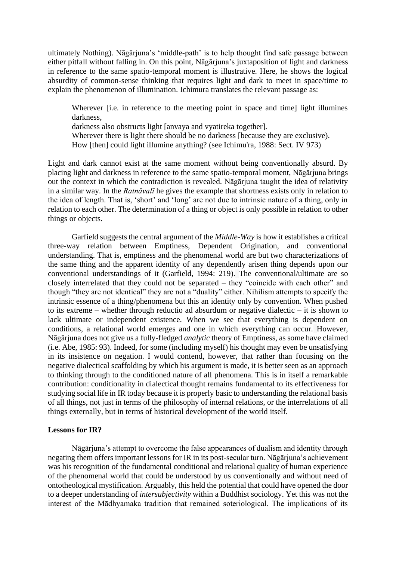ultimately Nothing). Nāgārjuna's 'middle-path' is to help thought find safe passage between either pitfall without falling in. On this point, Nāgārjuna's juxtaposition of light and darkness in reference to the same spatio-temporal moment is illustrative. Here, he shows the logical absurdity of common-sense thinking that requires light and dark to meet in space/time to explain the phenomenon of illumination. Ichimura translates the relevant passage as:

Wherever *i.e.* in reference to the meeting point in space and time light illumines darkness,

darkness also obstructs light [anvaya and vyatireka together].

Wherever there is light there should be no darkness [because they are exclusive).

How [then] could light illumine anything? (see Ichimu'ra, 1988: Sect. IV 973)

Light and dark cannot exist at the same moment without being conventionally absurd. By placing light and darkness in reference to the same spatio-temporal moment, Nāgārjuna brings out the context in which the contradiction is revealed. Nāgārjuna taught the idea of relativity in a similar way. In the *Ratnāvalī* he gives the example that shortness exists only in relation to the idea of length. That is, 'short' and 'long' are not due to intrinsic nature of a thing, only in relation to each other. The determination of a thing or object is only possible in relation to other things or objects.

Garfield suggests the central argument of the *Middle-Way* is how it establishes a critical three-way relation between Emptiness, Dependent Origination, and conventional understanding. That is, emptiness and the phenomenal world are but two characterizations of the same thing and the apparent identity of any dependently arisen thing depends upon our conventional understandings of it (Garfield, 1994: 219). The conventional/ultimate are so closely interrelated that they could not be separated – they "coincide with each other" and though "they are not identical" they are not a "duality" either. Nihilism attempts to specify the intrinsic essence of a thing/phenomena but this an identity only by convention. When pushed to its extreme – whether through reductio ad absurdum or negative dialectic – it is shown to lack ultimate or independent existence. When we see that everything is dependent on conditions, a relational world emerges and one in which everything can occur. However, Nāgārjuna does not give us a fully-fledged *analytic* theory of Emptiness, as some have claimed (i.e. Abe, 1985: 93). Indeed, for some (including myself) his thought may even be unsatisfying in its insistence on negation. I would contend, however, that rather than focusing on the negative dialectical scaffolding by which his argument is made, it is better seen as an approach to thinking through to the conditioned nature of all phenomena. This is in itself a remarkable contribution: conditionality in dialectical thought remains fundamental to its effectiveness for studying social life in IR today because it is properly basic to understanding the relational basis of all things, not just in terms of the philosophy of internal relations, or the interrelations of all things externally, but in terms of historical development of the world itself.

### **Lessons for IR?**

Nāgārjuna's attempt to overcome the false appearances of dualism and identity through negating them offers important lessons for IR in its post-secular turn. Nāgārjuna's achievement was his recognition of the fundamental conditional and relational quality of human experience of the phenomenal world that could be understood by us conventionally and without need of ontotheological mystification. Arguably, this held the potential that could have opened the door to a deeper understanding of *intersubjectivity* within a Buddhist sociology. Yet this was not the interest of the Mādhyamaka tradition that remained soteriological. The implications of its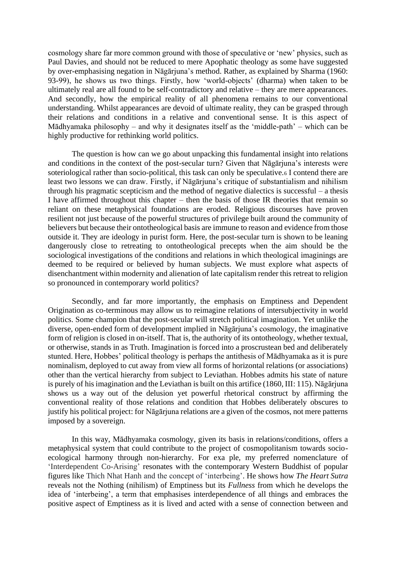cosmology share far more common ground with those of speculative or 'new' physics, such as Paul Davies, and should not be reduced to mere Apophatic theology as some have suggested by over-emphasising negation in Nāgārjuna's method. Rather, as explained by Sharma (1960: 93-99), he shows us two things. Firstly, how 'world-objects' (dharma) when taken to be ultimately real are all found to be self-contradictory and relative – they are mere appearances. And secondly, how the empirical reality of all phenomena remains to our conventional understanding. Whilst appearances are devoid of ultimate reality, they can be grasped through their relations and conditions in a relative and conventional sense. It is this aspect of Mādhyamaka philosophy – and why it designates itself as the 'middle-path' – which can be highly productive for rethinking world politics.

The question is how can we go about unpacking this fundamental insight into relations and conditions in the context of the post-secular turn? Given that Nāgārjuna's interests were soteriological rather than socio-political, this task can only be speculative.<sup>6</sup> I contend there are least two lessons we can draw. Firstly, if Nāgārjuna's critique of substantialism and nihilism through his pragmatic scepticism and the method of negative dialectics is successful – a thesis I have affirmed throughout this chapter – then the basis of those IR theories that remain so reliant on these metaphysical foundations are eroded. Religious discourses have proven resilient not just because of the powerful structures of privilege built around the community of believers but because their ontotheological basis are immune to reason and evidence from those outside it. They are ideology in purist form. Here, the post-secular turn is shown to be leaning dangerously close to retreating to ontotheological precepts when the aim should be the sociological investigations of the conditions and relations in which theological imaginings are deemed to be required or believed by human subjects. We must explore what aspects of disenchantment within modernity and alienation of late capitalism render this retreat to religion so pronounced in contemporary world politics?

Secondly, and far more importantly, the emphasis on Emptiness and Dependent Origination as co-terminous may allow us to reimagine relations of intersubjectivity in world politics. Some champion that the post-secular will stretch political imagination. Yet unlike the diverse, open-ended form of development implied in Nāgārjuna's cosmology, the imaginative form of religion is closed in on-itself. That is, the authority of its ontotheology, whether textual, or otherwise, stands in as Truth. Imagination is forced into a proscrustean bed and deliberately stunted. Here, Hobbes' political theology is perhaps the antithesis of Mādhyamaka as it is pure nominalism, deployed to cut away from view all forms of horizontal relations (or associations) other than the vertical hierarchy from subject to Leviathan. Hobbes admits his state of nature is purely of his imagination and the Leviathan is built on this artifice (1860, III: 115). Nāgārjuna shows us a way out of the delusion yet powerful rhetorical construct by affirming the conventional reality of those relations and condition that Hobbes deliberately obscures to justify his political project: for Nāgārjuna relations are a given of the cosmos, not mere patterns imposed by a sovereign.

In this way, Mādhyamaka cosmology, given its basis in relations/conditions, offers a metaphysical system that could contribute to the project of cosmopolitanism towards socioecological harmony through non-hierarchy. For exa ple, my preferred nomenclature of 'Interdependent Co-Arising' resonates with the contemporary Western Buddhist of popular figures like Thich Nhat Hanh and the concept of 'interbeing'. He shows how *The Heart Sutra* reveals not the Nothing (nihilism) of Emptiness but its *Fullness* from which he develops the idea of 'interbeing', a term that emphasises interdependence of all things and embraces the positive aspect of Emptiness as it is lived and acted with a sense of connection between and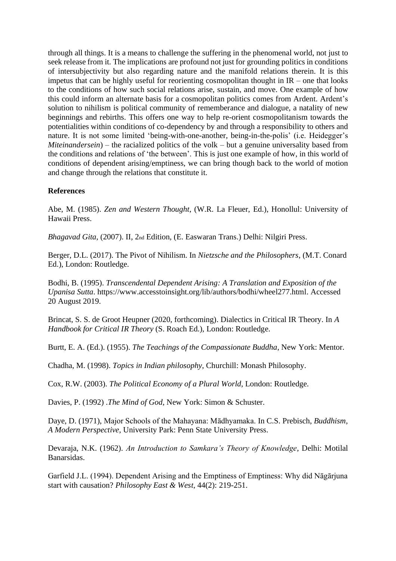through all things. It is a means to challenge the suffering in the phenomenal world, not just to seek release from it. The implications are profound not just for grounding politics in conditions of intersubjectivity but also regarding nature and the manifold relations therein. It is this impetus that can be highly useful for reorienting cosmopolitan thought in IR – one that looks to the conditions of how such social relations arise, sustain, and move. One example of how this could inform an alternate basis for a cosmopolitan politics comes from Ardent. Ardent's solution to nihilism is political community of rememberance and dialogue, a natality of new beginnings and rebirths. This offers one way to help re-orient cosmopolitanism towards the potentialities within conditions of co-dependency by and through a responsibility to others and nature. It is not some limited 'being-with-one-another, being-in-the-polis' (i.e. Heidegger's *Miteinandersein*) – the racialized politics of the volk – but a genuine universality based from the conditions and relations of 'the between'. This is just one example of how, in this world of conditions of dependent arising/emptiness, we can bring though back to the world of motion and change through the relations that constitute it.

# **References**

Abe, M. (1985). *Zen and Western Thought*, (W.R. La Fleuer, Ed.), Honollul: University of Hawaii Press.

*Bhagavad Gita*, (2007). II, 2nd Edition, (E. Easwaran Trans.) Delhi: Nilgiri Press.

Berger, D.L. (2017). The Pivot of Nihilism. In *Nietzsche and the Philosophers*, (M.T. Conard Ed.), London: Routledge.

Bodhi, B. (1995). *Transcendental Dependent Arising: A Translation and Exposition of the Upanisa Sutta*. [https://www.accesstoinsight.org/lib/authors/bodhi/wheel277.html.](https://www.accesstoinsight.org/lib/authors/bodhi/wheel277.html) Accessed 20 August 2019.

Brincat, S. S. de Groot Heupner (2020, forthcoming). Dialectics in Critical IR Theory. In *A Handbook for Critical IR Theory* (S. Roach Ed.), London: Routledge.

Burtt, E. A. (Ed.). (1955). *The Teachings of the Compassionate Buddha*, New York: Mentor.

Chadha, M. (1998). *Topics in Indian philosophy*, Churchill: Monash Philosophy.

Cox, R.W. (2003). *The Political Economy of a Plural World*, London: Routledge.

Davies, P. (1992) .*The Mind of God*, New York: Simon & Schuster.

Daye, D. (1971), Major Schools of the Mahayana: Mādhyamaka. In C.S. Prebisch, *Buddhism, A Modern Perspective,* University Park: Penn State University Press.

Devaraja, N.K. (1962). *An Introduction to Samkara's Theory of Knowledge*, Delhi: Motilal Banarsidas.

Garfield J.L. (1994). Dependent Arising and the Emptiness of Emptiness: Why did Nāgārjuna start with causation? *Philosophy East & West*, 44(2): 219-251.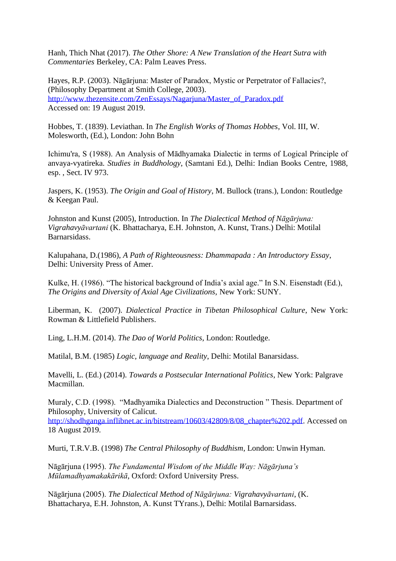Hanh, Thich Nhat (2017). *The Other Shore: A New Translation of the Heart Sutra with Commentaries* Berkeley, CA: Palm Leaves Press.

Hayes, R.P. (2003). Nāgārjuna: Master of Paradox, Mystic or Perpetrator of Fallacies?, (Philosophy Department at Smith College, 2003). http://www.thezensite.com/ZenEssays/Nagariuna/Master\_of\_Paradox.pdf Accessed on: 19 August 2019.

Hobbes, T. (1839). Leviathan. In *The English Works of Thomas Hobbes*, Vol. III, W. Molesworth, (Ed.), London: John Bohn

Ichimu'ra, S (1988). An Analysis of Mādhyamaka Dialectic in terms of Logical Principle of anvaya-vyatireka. *Studies in Buddhology*, (Samtani Ed.), Delhi: Indian Books Centre, 1988, esp. , Sect. IV 973.

Jaspers, K. (1953). *The Origin and Goal of History*, M. Bullock (trans.), London: Routledge & Keegan Paul.

Johnston and Kunst (2005), Introduction. In *The Dialectical Method of Nāgārjuna: Vigrahavyāvartani* (K. Bhattacharya, E.H. Johnston, A. Kunst, Trans.) Delhi: Motilal Barnarsidass.

Kalupahana, D.(1986), *A Path of Righteousness: Dhammapada : An Introductory Essay*, Delhi: University Press of Amer.

Kulke, H. (1986). "The historical background of India's axial age." In S.N. Eisenstadt (Ed.), *The Origins and Diversity of Axial Age Civilizations,* New York: SUNY.

Liberman, K. (2007). *Dialectical Practice in Tibetan Philosophical Culture*, New York: Rowman & Littlefield Publishers.

Ling, L.H.M. (2014). *The Dao of World Politics*, London: Routledge.

Matilal, B.M. (1985) *Logic, language and Reality*, Delhi: Motilal Banarsidass.

Mavelli, L. (Ed.) (2014). *Towards a Postsecular International Politics*, New York: Palgrave Macmillan.

Muraly, C.D. (1998). "Madhyamika Dialectics and Deconstruction " Thesis. Department of Philosophy, University of Calicut.

[http://shodhganga.inflibnet.ac.in/bitstream/10603/42809/8/08\\_chapter%202.pdf.](http://shodhganga.inflibnet.ac.in/bitstream/10603/42809/8/08_chapter%202.pdf) Accessed on 18 August 2019.

Murti, T.R.V.B. (1998) *The Central Philosophy of Buddhism*, London: Unwin Hyman.

Nāgārjuna (1995). *The Fundamental Wisdom of the Middle Way: Nāgārjuna's Mūlamadhyamakakārikā*, Oxford: Oxford University Press.

Nāgārjuna (2005). *The Dialectical Method of Nāgārjuna: Vigrahavyāvartani*, (K. Bhattacharya, E.H. Johnston, A. Kunst TYrans.), Delhi: Motilal Barnarsidass.